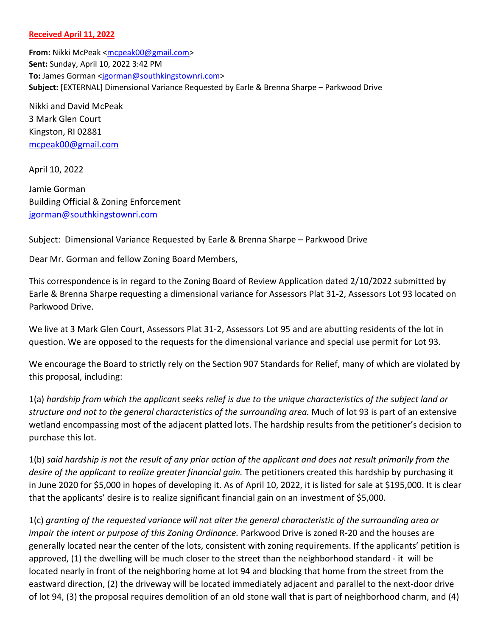## **Received April 11, 2022**

**From:** Nikki McPeak [<mcpeak00@gmail.com>](mailto:mcpeak00@gmail.com) **Sent:** Sunday, April 10, 2022 3:42 PM **To:** James Gorman [<jgorman@southkingstownri.com>](mailto:jgorman@southkingstownri.com) **Subject:** [EXTERNAL] Dimensional Variance Requested by Earle & Brenna Sharpe – Parkwood Drive

Nikki and David McPeak 3 Mark Glen Court Kingston, RI 02881 [mcpeak00@gmail.com](mailto:mcpeak00@gmail.com)

April 10, 2022

Jamie Gorman Building Official & Zoning Enforcement [jgorman@southkingstownri.com](mailto:jgorman@southkingstownri.com)

Subject: Dimensional Variance Requested by Earle & Brenna Sharpe – Parkwood Drive

Dear Mr. Gorman and fellow Zoning Board Members,

This correspondence is in regard to the Zoning Board of Review Application dated 2/10/2022 submitted by Earle & Brenna Sharpe requesting a dimensional variance for Assessors Plat 31-2, Assessors Lot 93 located on Parkwood Drive.

We live at 3 Mark Glen Court, Assessors Plat 31-2, Assessors Lot 95 and are abutting residents of the lot in question. We are opposed to the requests for the dimensional variance and special use permit for Lot 93.

We encourage the Board to strictly rely on the Section 907 Standards for Relief, many of which are violated by this proposal, including:

1(a) *hardship from which the applicant seeks relief is due to the unique characteristics of the subject land or structure and not to the general characteristics of the surrounding area.* Much of lot 93 is part of an extensive wetland encompassing most of the adjacent platted lots. The hardship results from the petitioner's decision to purchase this lot.

1(b) *said hardship is not the result of any prior action of the applicant and does not result primarily from the desire of the applicant to realize greater financial gain.* The petitioners created this hardship by purchasing it in June 2020 for \$5,000 in hopes of developing it. As of April 10, 2022, it is listed for sale at \$195,000. It is clear that the applicants' desire is to realize significant financial gain on an investment of \$5,000.

1(c) *granting of the requested variance will not alter the general characteristic of the surrounding area or impair the intent or purpose of this Zoning Ordinance.* Parkwood Drive is zoned R-20 and the houses are generally located near the center of the lots, consistent with zoning requirements. If the applicants' petition is approved, (1) the dwelling will be much closer to the street than the neighborhood standard - it will be located nearly in front of the neighboring home at lot 94 and blocking that home from the street from the eastward direction, (2) the driveway will be located immediately adjacent and parallel to the next-door drive of lot 94, (3) the proposal requires demolition of an old stone wall that is part of neighborhood charm, and (4)